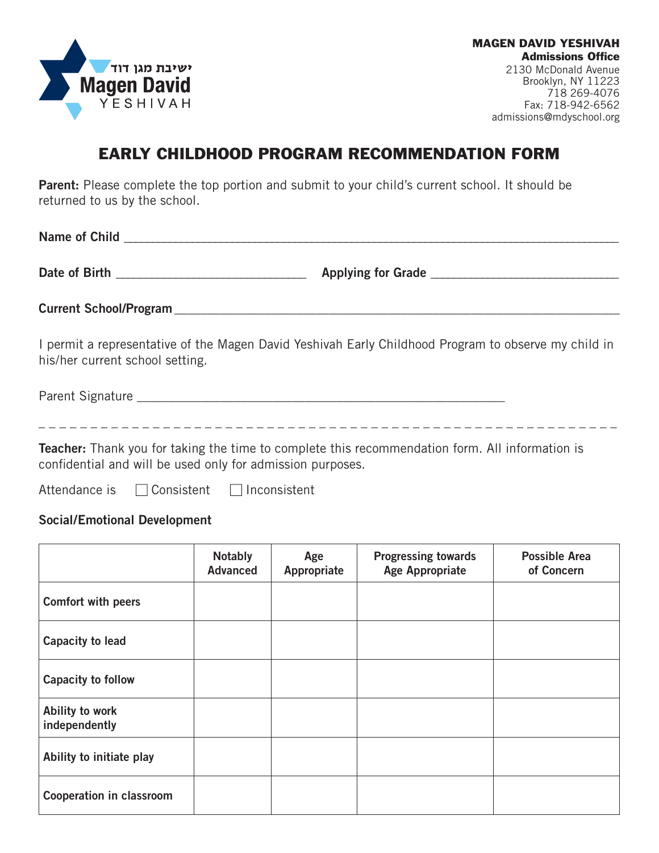

MAGEN DAVID YESHIVAH **Admissions Office** 2130 McDonald Avenue Brooklyn, NY 11223 718 269-4076 Fax: 718-942-6562 admissions@mdyschool.org

## EARLY CHILDHOOD PROGRAM RECOMMENDATION FORM

**Parent:** Please complete the top portion and submit to your child's current school. It should be returned to us by the school.

**Name of Child Name of Child Name of Child Name of Child Name of Child Name of Child Name of Child Name of Child Name of Child Name of Child Name of Child Name of Child Name of Child Name of Child Date of Birth**  and the control of the control of Applying for Grade  $\blacksquare$  and  $\blacksquare$ **Current School/Program** I permit a representative of the Magen David Yeshivah Early Childhood Program to observe my child in his/her current school setting.

Parent Signature \_\_\_\_\_\_\_\_\_\_\_\_\_\_\_\_\_\_\_\_\_\_\_\_\_\_\_\_\_\_\_\_\_\_\_\_\_\_\_\_\_\_\_\_\_\_\_\_\_\_\_\_\_\_\_\_\_

\_ \_ \_ \_ \_ \_ \_ \_ \_ \_ \_ \_ \_ \_ \_ \_ \_ \_ \_ \_ \_ \_ \_ \_ \_ \_ \_ \_ \_ \_ \_ \_ \_ \_ \_ \_ \_ \_ \_ \_ \_ \_ \_ \_ \_ \_ \_ \_ \_ \_ \_ \_ \_ \_ \_ \_

**Teacher:** Thank you for taking the time to complete this recommendation form. All information is confidential and will be used only for admission purposes.

Attendance is  $\Box$  Consistent  $\Box$  Inconsistent

## **Social/Emotional Development**

|                                  | <b>Notably</b><br><b>Advanced</b> | Age<br>Appropriate | <b>Progressing towards</b><br><b>Age Appropriate</b> | <b>Possible Area</b><br>of Concern |
|----------------------------------|-----------------------------------|--------------------|------------------------------------------------------|------------------------------------|
| Comfort with peers               |                                   |                    |                                                      |                                    |
| Capacity to lead                 |                                   |                    |                                                      |                                    |
| Capacity to follow               |                                   |                    |                                                      |                                    |
| Ability to work<br>independently |                                   |                    |                                                      |                                    |
| Ability to initiate play         |                                   |                    |                                                      |                                    |
| <b>Cooperation in classroom</b>  |                                   |                    |                                                      |                                    |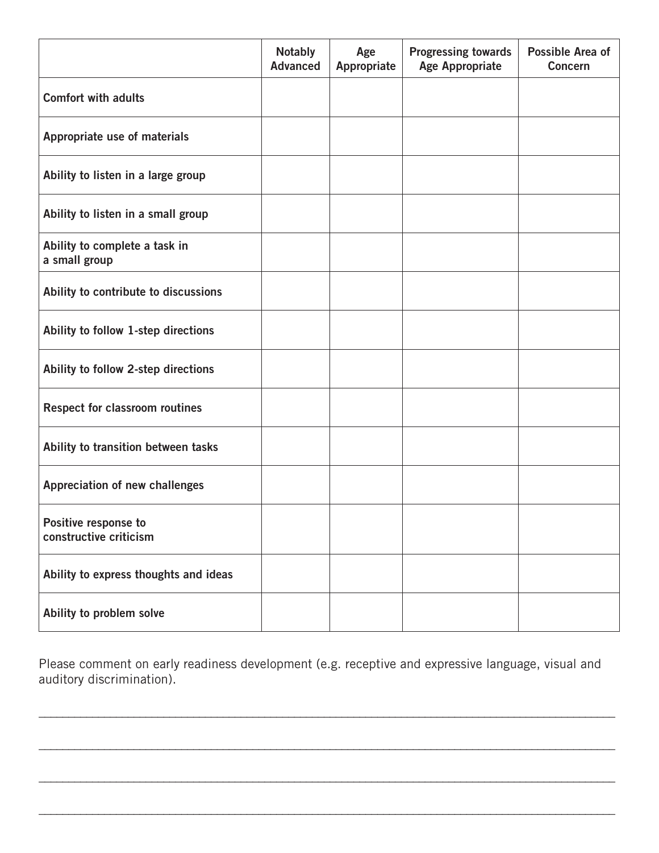|                                                | <b>Notably</b><br><b>Advanced</b> | Age<br>Appropriate | <b>Progressing towards</b><br><b>Age Appropriate</b> | Possible Area of<br><b>Concern</b> |
|------------------------------------------------|-----------------------------------|--------------------|------------------------------------------------------|------------------------------------|
| <b>Comfort with adults</b>                     |                                   |                    |                                                      |                                    |
| Appropriate use of materials                   |                                   |                    |                                                      |                                    |
| Ability to listen in a large group             |                                   |                    |                                                      |                                    |
| Ability to listen in a small group             |                                   |                    |                                                      |                                    |
| Ability to complete a task in<br>a small group |                                   |                    |                                                      |                                    |
| Ability to contribute to discussions           |                                   |                    |                                                      |                                    |
| Ability to follow 1-step directions            |                                   |                    |                                                      |                                    |
| Ability to follow 2-step directions            |                                   |                    |                                                      |                                    |
| <b>Respect for classroom routines</b>          |                                   |                    |                                                      |                                    |
| Ability to transition between tasks            |                                   |                    |                                                      |                                    |
| Appreciation of new challenges                 |                                   |                    |                                                      |                                    |
| Positive response to<br>constructive criticism |                                   |                    |                                                      |                                    |
| Ability to express thoughts and ideas          |                                   |                    |                                                      |                                    |
| Ability to problem solve                       |                                   |                    |                                                      |                                    |

Please comment on early readiness development (e.g. receptive and expressive language, visual and auditory discrimination).

\_\_\_\_\_\_\_\_\_\_\_\_\_\_\_\_\_\_\_\_\_\_\_\_\_\_\_\_\_\_\_\_\_\_\_\_\_\_\_\_\_\_\_\_\_\_\_\_\_\_\_\_\_\_\_\_\_\_\_\_\_\_\_\_\_\_\_\_\_\_\_\_\_\_\_\_\_\_\_\_\_\_\_\_\_\_\_\_\_\_\_\_\_\_\_\_\_

\_\_\_\_\_\_\_\_\_\_\_\_\_\_\_\_\_\_\_\_\_\_\_\_\_\_\_\_\_\_\_\_\_\_\_\_\_\_\_\_\_\_\_\_\_\_\_\_\_\_\_\_\_\_\_\_\_\_\_\_\_\_\_\_\_\_\_\_\_\_\_\_\_\_\_\_\_\_\_\_\_\_\_\_\_\_\_\_\_\_\_\_\_\_\_\_\_

\_\_\_\_\_\_\_\_\_\_\_\_\_\_\_\_\_\_\_\_\_\_\_\_\_\_\_\_\_\_\_\_\_\_\_\_\_\_\_\_\_\_\_\_\_\_\_\_\_\_\_\_\_\_\_\_\_\_\_\_\_\_\_\_\_\_\_\_\_\_\_\_\_\_\_\_\_\_\_\_\_\_\_\_\_\_\_\_\_\_\_\_\_\_\_\_\_

\_\_\_\_\_\_\_\_\_\_\_\_\_\_\_\_\_\_\_\_\_\_\_\_\_\_\_\_\_\_\_\_\_\_\_\_\_\_\_\_\_\_\_\_\_\_\_\_\_\_\_\_\_\_\_\_\_\_\_\_\_\_\_\_\_\_\_\_\_\_\_\_\_\_\_\_\_\_\_\_\_\_\_\_\_\_\_\_\_\_\_\_\_\_\_\_\_